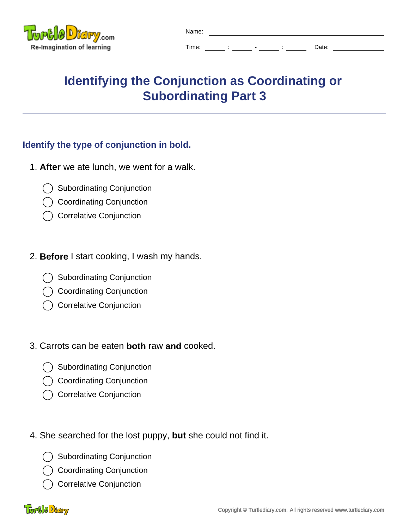

| Name: |  |                          |       |
|-------|--|--------------------------|-------|
| Time: |  | $\overline{\phantom{0}}$ | Date: |

# **Identifying the Conjunction as Coordinating or Subordinating Part 3**

## **Identify the type of conjunction in bold.**

- 1. **After** we ate lunch, we went for a walk.
	- Subordinating Conjunction
	- Coordinating Conjunction
	- Correlative Conjunction

### 2. **Before** I start cooking, I wash my hands.

- Subordinating Conjunction
- Coordinating Conjunction
- Correlative Conjunction

### 3. Carrots can be eaten **both** raw **and** cooked.

- Subordinating Conjunction
- Coordinating Conjunction
- Correlative Conjunction
- 4. She searched for the lost puppy, **but** she could not find it.
	- Subordinating Conjunction
	- Coordinating Conjunction
	- Correlative Conjunction

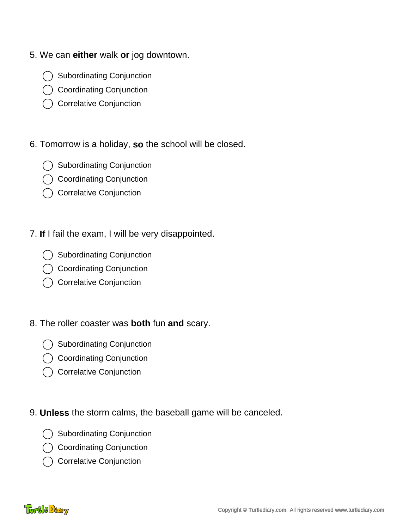- 5. We can **either** walk **or** jog downtown.
	- Subordinating Conjunction
	- Coordinating Conjunction
	- Correlative Conjunction
- 6. Tomorrow is a holiday, **so** the school will be closed.
	- Subordinating Conjunction
	- Coordinating Conjunction
	- Correlative Conjunction
- 7. **If** I fail the exam, I will be very disappointed.
	- Subordinating Conjunction
	- Coordinating Conjunction
	- Correlative Conjunction
- 8. The roller coaster was **both** fun **and** scary.
	- Subordinating Conjunction
	- Coordinating Conjunction
	- C Correlative Conjunction
- 9. **Unless** the storm calms, the baseball game will be canceled.
	- Subordinating Conjunction
	- Coordinating Conjunction
	- Correlative Conjunction